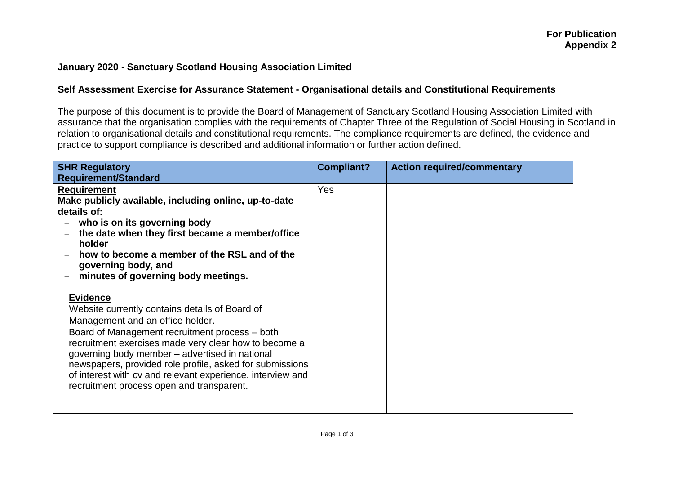## **January 2020 - Sanctuary Scotland Housing Association Limited**

## **Self Assessment Exercise for Assurance Statement - Organisational details and Constitutional Requirements**

The purpose of this document is to provide the Board of Management of Sanctuary Scotland Housing Association Limited with assurance that the organisation complies with the requirements of Chapter Three of the Regulation of Social Housing in Scotland in relation to organisational details and constitutional requirements. The compliance requirements are defined, the evidence and practice to support compliance is described and additional information or further action defined.

| <b>SHR Regulatory</b><br><b>Requirement/Standard</b>                                                                                                                                                                                                                                                                                                                                                                                      | <b>Compliant?</b> | <b>Action required/commentary</b> |
|-------------------------------------------------------------------------------------------------------------------------------------------------------------------------------------------------------------------------------------------------------------------------------------------------------------------------------------------------------------------------------------------------------------------------------------------|-------------------|-----------------------------------|
| <b>Requirement</b><br>Make publicly available, including online, up-to-date<br>details of:<br>who is on its governing body<br>the date when they first became a member/office<br>holder<br>how to become a member of the RSL and of the<br>governing body, and<br>minutes of governing body meetings.                                                                                                                                     | Yes               |                                   |
| <b>Evidence</b><br>Website currently contains details of Board of<br>Management and an office holder.<br>Board of Management recruitment process – both<br>recruitment exercises made very clear how to become a<br>governing body member - advertised in national<br>newspapers, provided role profile, asked for submissions<br>of interest with cv and relevant experience, interview and<br>recruitment process open and transparent. |                   |                                   |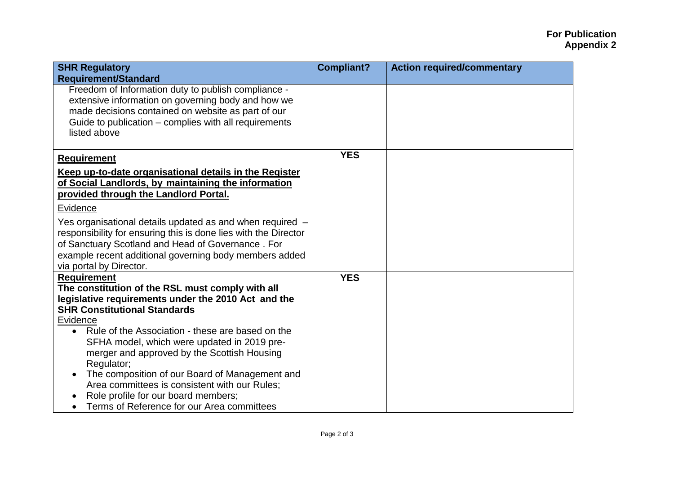## **For Publication Appendix 2**

| <b>SHR Regulatory</b>                                                                                                                                                                                                                                                  | <b>Compliant?</b> | <b>Action required/commentary</b> |
|------------------------------------------------------------------------------------------------------------------------------------------------------------------------------------------------------------------------------------------------------------------------|-------------------|-----------------------------------|
| <b>Requirement/Standard</b>                                                                                                                                                                                                                                            |                   |                                   |
| Freedom of Information duty to publish compliance -<br>extensive information on governing body and how we                                                                                                                                                              |                   |                                   |
| made decisions contained on website as part of our                                                                                                                                                                                                                     |                   |                                   |
| Guide to publication – complies with all requirements                                                                                                                                                                                                                  |                   |                                   |
| listed above                                                                                                                                                                                                                                                           |                   |                                   |
|                                                                                                                                                                                                                                                                        |                   |                                   |
| <b>Requirement</b>                                                                                                                                                                                                                                                     | <b>YES</b>        |                                   |
| Keep up-to-date organisational details in the Register<br>of Social Landlords, by maintaining the information<br>provided through the Landlord Portal.                                                                                                                 |                   |                                   |
| Evidence                                                                                                                                                                                                                                                               |                   |                                   |
| Yes organisational details updated as and when required -<br>responsibility for ensuring this is done lies with the Director<br>of Sanctuary Scotland and Head of Governance. For<br>example recent additional governing body members added<br>via portal by Director. |                   |                                   |
| <b>Requirement</b>                                                                                                                                                                                                                                                     | <b>YES</b>        |                                   |
| The constitution of the RSL must comply with all<br>legislative requirements under the 2010 Act and the                                                                                                                                                                |                   |                                   |
| <b>SHR Constitutional Standards</b>                                                                                                                                                                                                                                    |                   |                                   |
| Evidence                                                                                                                                                                                                                                                               |                   |                                   |
| Rule of the Association - these are based on the<br>$\bullet$<br>SFHA model, which were updated in 2019 pre-<br>merger and approved by the Scottish Housing<br>Regulator;                                                                                              |                   |                                   |
| The composition of our Board of Management and<br>Area committees is consistent with our Rules;<br>Role profile for our board members;                                                                                                                                 |                   |                                   |
| Terms of Reference for our Area committees                                                                                                                                                                                                                             |                   |                                   |